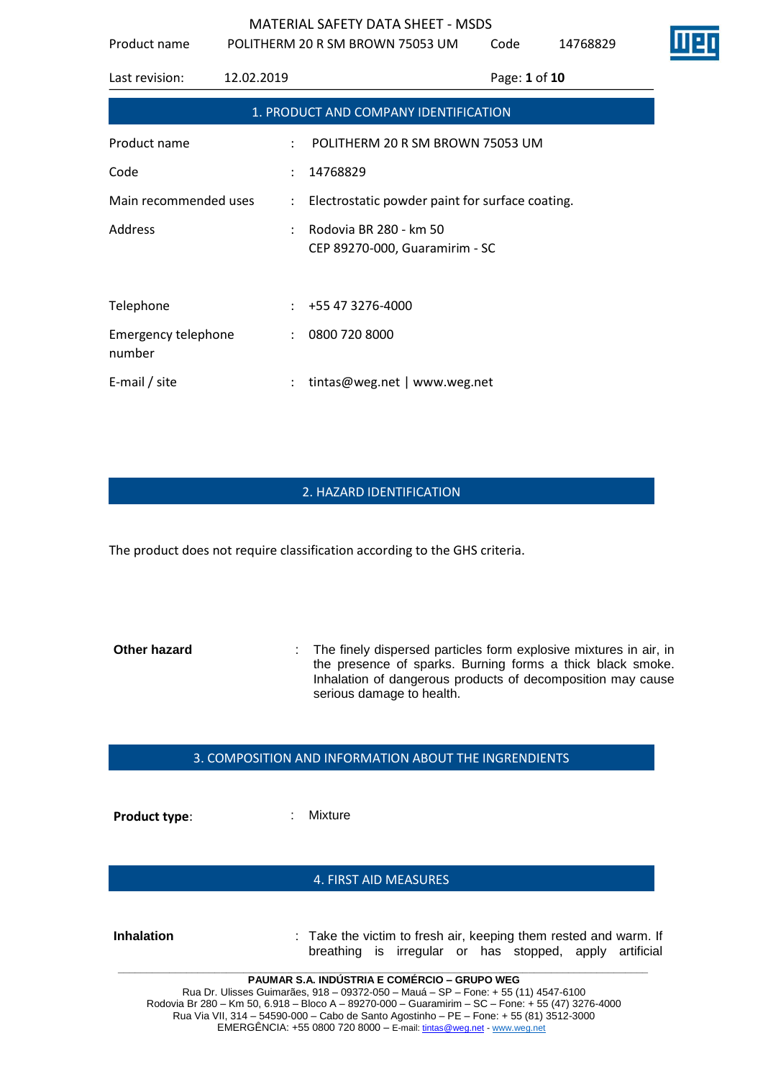Product name POLITHERM 20 R SM BROWN 75053 UM Code 14768829

| Last revision:                        | 12.02.2019           | Page: 1 of 10                                            |  |  |  |
|---------------------------------------|----------------------|----------------------------------------------------------|--|--|--|
| 1. PRODUCT AND COMPANY IDENTIFICATION |                      |                                                          |  |  |  |
| Product name                          | $\ddot{\phantom{a}}$ | POLITHERM 20 R SM BROWN 75053 UM                         |  |  |  |
| Code                                  | ÷                    | 14768829                                                 |  |  |  |
| Main recommended uses                 |                      | : Electrostatic powder paint for surface coating.        |  |  |  |
| Address                               | ÷                    | Rodovia BR 280 - km 50<br>CEP 89270-000, Guaramirim - SC |  |  |  |
| Telephone                             |                      | $: +55473276-4000$                                       |  |  |  |
| Emergency telephone<br>number         |                      | : 08007208000                                            |  |  |  |
| E-mail / site                         |                      | tintas@weg.net   www.weg.net                             |  |  |  |

# 2. HAZARD IDENTIFICATION

The product does not require classification according to the GHS criteria.

**Other hazard** : The finely dispersed particles form explosive mixtures in air, in the presence of sparks. Burning forms a thick black smoke. Inhalation of dangerous products of decomposition may cause serious damage to health.

### 3. COMPOSITION AND INFORMATION ABOUT THE INGRENDIENTS

**Product type:**  $\qquad \qquad$ : Mixture

### 4. FIRST AID MEASURES

**Inhalation** : Take the victim to fresh air, keeping them rested and warm. If breathing is irregular or has stopped, apply artificial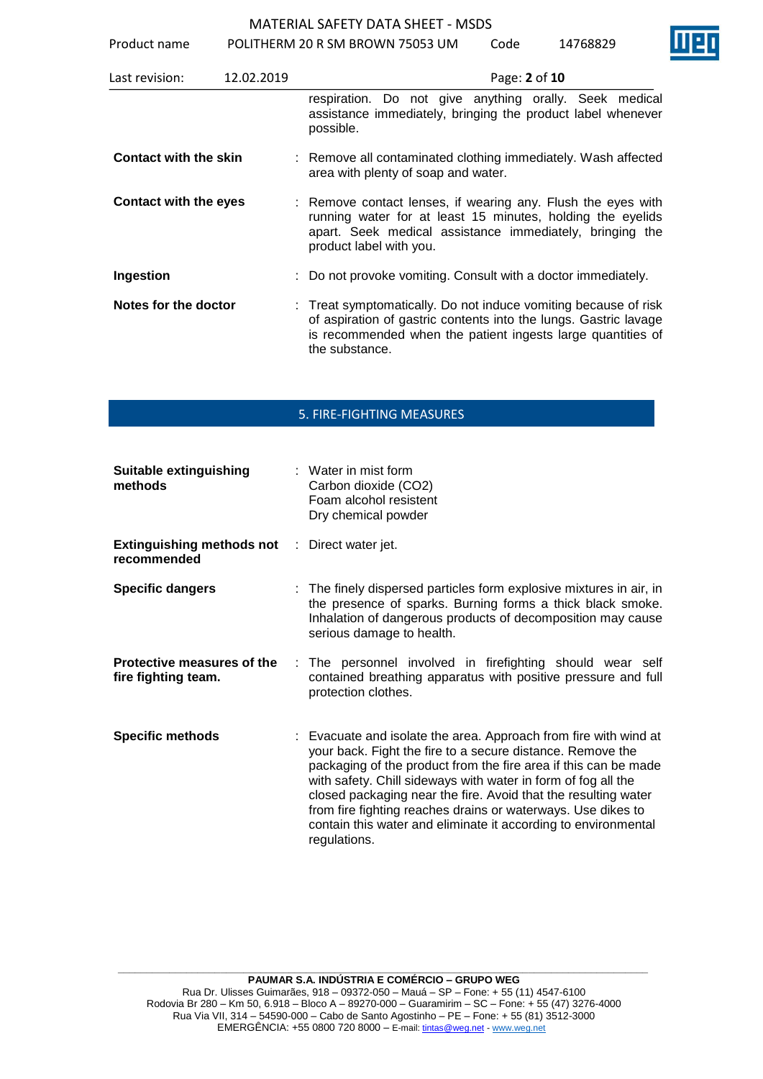Product name POLITHERM 20 R SM BROWN 75053 UM Code 14768829

| Last revision:               | 12.02.2019 | Page: 2 of 10                                                                                                                                                                                                        |
|------------------------------|------------|----------------------------------------------------------------------------------------------------------------------------------------------------------------------------------------------------------------------|
|                              |            | respiration. Do not give anything orally. Seek medical<br>assistance immediately, bringing the product label whenever<br>possible.                                                                                   |
| <b>Contact with the skin</b> |            | : Remove all contaminated clothing immediately. Wash affected<br>area with plenty of soap and water.                                                                                                                 |
| Contact with the eyes        |            | : Remove contact lenses, if wearing any. Flush the eyes with<br>running water for at least 15 minutes, holding the eyelids<br>apart. Seek medical assistance immediately, bringing the<br>product label with you.    |
| Ingestion                    |            | : Do not provoke vomiting. Consult with a doctor immediately.                                                                                                                                                        |
| Notes for the doctor         |            | : Treat symptomatically. Do not induce vomiting because of risk<br>of aspiration of gastric contents into the lungs. Gastric lavage<br>is recommended when the patient ingests large quantities of<br>the substance. |

# 5. FIRE-FIGHTING MEASURES

| <b>Suitable extinguishing</b><br>methods                            | $:$ Water in mist form<br>Carbon dioxide (CO2)<br>Foam alcohol resistent<br>Dry chemical powder                                                                                                                                                                                                                                                                                                                                                                                        |
|---------------------------------------------------------------------|----------------------------------------------------------------------------------------------------------------------------------------------------------------------------------------------------------------------------------------------------------------------------------------------------------------------------------------------------------------------------------------------------------------------------------------------------------------------------------------|
| <b>Extinguishing methods not</b> : Direct water jet.<br>recommended |                                                                                                                                                                                                                                                                                                                                                                                                                                                                                        |
| <b>Specific dangers</b>                                             | : The finely dispersed particles form explosive mixtures in air, in<br>the presence of sparks. Burning forms a thick black smoke.<br>Inhalation of dangerous products of decomposition may cause<br>serious damage to health.                                                                                                                                                                                                                                                          |
| Protective measures of the<br>fire fighting team.                   | : The personnel involved in firefighting should wear self<br>contained breathing apparatus with positive pressure and full<br>protection clothes.                                                                                                                                                                                                                                                                                                                                      |
| <b>Specific methods</b>                                             | : Evacuate and isolate the area. Approach from fire with wind at<br>your back. Fight the fire to a secure distance. Remove the<br>packaging of the product from the fire area if this can be made<br>with safety. Chill sideways with water in form of fog all the<br>closed packaging near the fire. Avoid that the resulting water<br>from fire fighting reaches drains or waterways. Use dikes to<br>contain this water and eliminate it according to environmental<br>regulations. |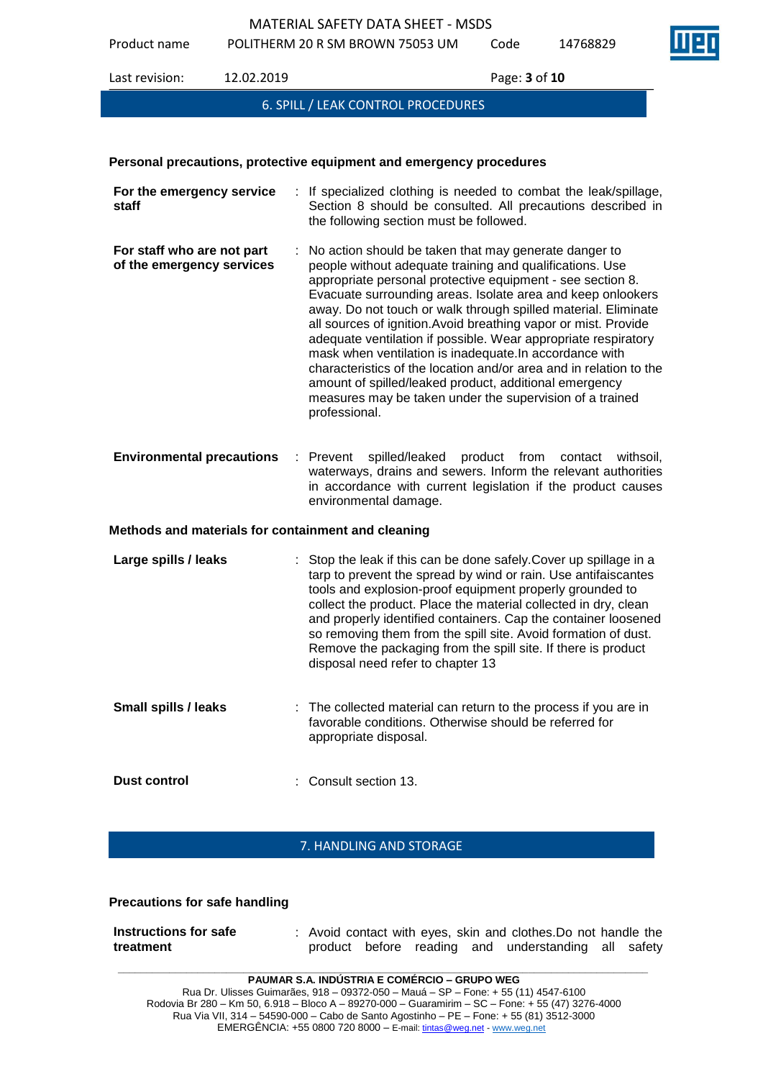Product name POLITHERM 20 R SM BROWN 75053 UM Code 14768829

Last revision: 12.02.2019 Page: **3** of **10**

6. SPILL / LEAK CONTROL PROCEDURES

### **Personal precautions, protective equipment and emergency procedures**

| For the emergency service<br>staff                      | : If specialized clothing is needed to combat the leak/spillage,<br>Section 8 should be consulted. All precautions described in<br>the following section must be followed.                                                                                                                                                                                                                                                                                                                                                                                                                                                                                                                                                    |
|---------------------------------------------------------|-------------------------------------------------------------------------------------------------------------------------------------------------------------------------------------------------------------------------------------------------------------------------------------------------------------------------------------------------------------------------------------------------------------------------------------------------------------------------------------------------------------------------------------------------------------------------------------------------------------------------------------------------------------------------------------------------------------------------------|
| For staff who are not part<br>of the emergency services | No action should be taken that may generate danger to<br>people without adequate training and qualifications. Use<br>appropriate personal protective equipment - see section 8.<br>Evacuate surrounding areas. Isolate area and keep onlookers<br>away. Do not touch or walk through spilled material. Eliminate<br>all sources of ignition. Avoid breathing vapor or mist. Provide<br>adequate ventilation if possible. Wear appropriate respiratory<br>mask when ventilation is inadequate. In accordance with<br>characteristics of the location and/or area and in relation to the<br>amount of spilled/leaked product, additional emergency<br>measures may be taken under the supervision of a trained<br>professional. |
| <b>Environmental precautions</b>                        | $:$ Prevent<br>spilled/leaked product from<br>contact<br>withsoil,<br>waterways, drains and sewers. Inform the relevant authorities<br>in accordance with current legislation if the product causes<br>environmental damage.                                                                                                                                                                                                                                                                                                                                                                                                                                                                                                  |
| Methods and materials for containment and cleaning      |                                                                                                                                                                                                                                                                                                                                                                                                                                                                                                                                                                                                                                                                                                                               |
| Large spills / leaks                                    | : Stop the leak if this can be done safely. Cover up spillage in a<br>tarp to prevent the spread by wind or rain. Use antifaiscantes<br>tools and explosion-proof equipment properly grounded to<br>collect the product. Place the material collected in dry, clean<br>and properly identified containers. Cap the container loosened<br>so removing them from the spill site. Avoid formation of dust.<br>Remove the packaging from the spill site. If there is product<br>disposal need refer to chapter 13                                                                                                                                                                                                                 |
| <b>Small spills / leaks</b>                             | The collected material can return to the process if you are in<br>favorable conditions. Otherwise should be referred for<br>appropriate disposal.                                                                                                                                                                                                                                                                                                                                                                                                                                                                                                                                                                             |
| <b>Dust control</b>                                     | Consult section 13.                                                                                                                                                                                                                                                                                                                                                                                                                                                                                                                                                                                                                                                                                                           |
|                                                         |                                                                                                                                                                                                                                                                                                                                                                                                                                                                                                                                                                                                                                                                                                                               |

# 7. HANDLING AND STORAGE

### **Precautions for safe handling**

| Instructions for safe |  |  |  | : Avoid contact with eyes, skin and clothes. Do not handle the |  |  |
|-----------------------|--|--|--|----------------------------------------------------------------|--|--|
| treatment             |  |  |  | product before reading and understanding all safety            |  |  |

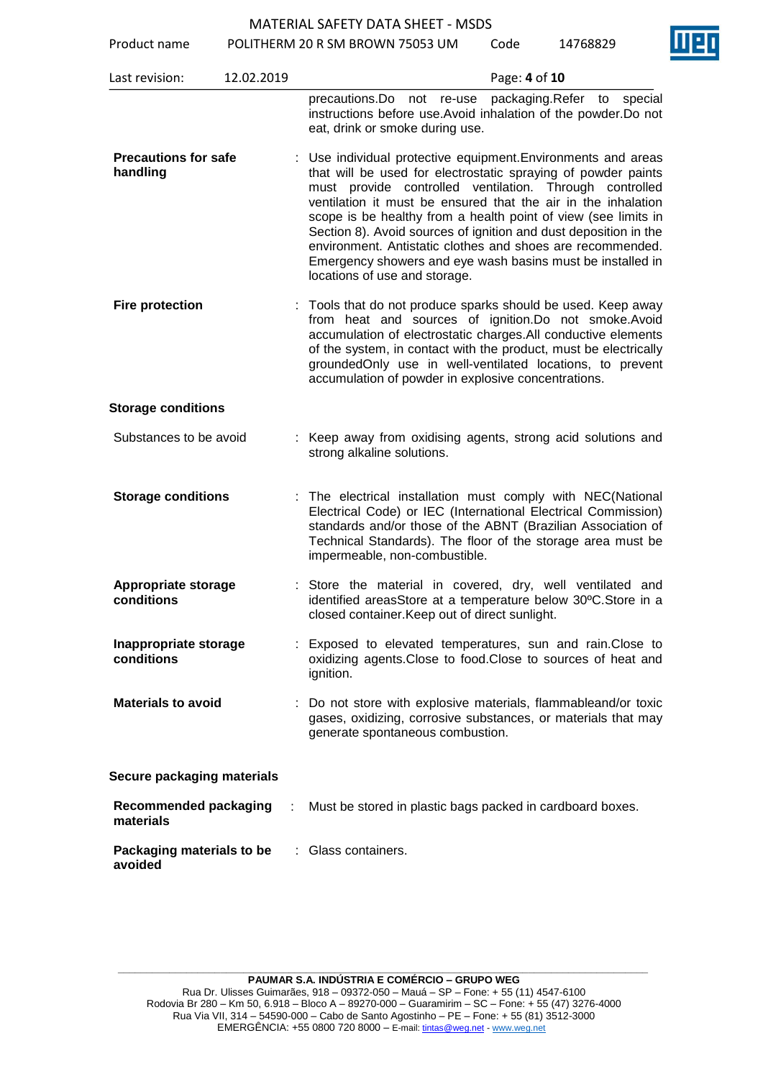Product name POLITHERM 20 R SM BROWN 75053 UM Code 14768829

|                                           |            | <b>I OLITILINIVI ZU IN JIVI DINUVIN I JUJU UNI</b>                                                                                                                                                                                                                                                                                                                                                                                                                                                                                                            |               |                               |  |
|-------------------------------------------|------------|---------------------------------------------------------------------------------------------------------------------------------------------------------------------------------------------------------------------------------------------------------------------------------------------------------------------------------------------------------------------------------------------------------------------------------------------------------------------------------------------------------------------------------------------------------------|---------------|-------------------------------|--|
| Last revision:                            | 12.02.2019 |                                                                                                                                                                                                                                                                                                                                                                                                                                                                                                                                                               | Page: 4 of 10 |                               |  |
|                                           |            | precautions.Do not re-use<br>instructions before use. Avoid inhalation of the powder. Do not<br>eat, drink or smoke during use.                                                                                                                                                                                                                                                                                                                                                                                                                               |               | packaging Refer to<br>special |  |
| <b>Precautions for safe</b><br>handling   |            | : Use individual protective equipment. Environments and areas<br>that will be used for electrostatic spraying of powder paints<br>must provide controlled ventilation. Through controlled<br>ventilation it must be ensured that the air in the inhalation<br>scope is be healthy from a health point of view (see limits in<br>Section 8). Avoid sources of ignition and dust deposition in the<br>environment. Antistatic clothes and shoes are recommended.<br>Emergency showers and eye wash basins must be installed in<br>locations of use and storage. |               |                               |  |
| <b>Fire protection</b>                    |            | Tools that do not produce sparks should be used. Keep away<br>from heat and sources of ignition.Do not smoke.Avoid<br>accumulation of electrostatic charges.All conductive elements<br>of the system, in contact with the product, must be electrically<br>groundedOnly use in well-ventilated locations, to prevent<br>accumulation of powder in explosive concentrations.                                                                                                                                                                                   |               |                               |  |
| <b>Storage conditions</b>                 |            |                                                                                                                                                                                                                                                                                                                                                                                                                                                                                                                                                               |               |                               |  |
| Substances to be avoid                    |            | : Keep away from oxidising agents, strong acid solutions and<br>strong alkaline solutions.                                                                                                                                                                                                                                                                                                                                                                                                                                                                    |               |                               |  |
| <b>Storage conditions</b>                 |            | : The electrical installation must comply with NEC(National<br>Electrical Code) or IEC (International Electrical Commission)<br>standards and/or those of the ABNT (Brazilian Association of<br>Technical Standards). The floor of the storage area must be<br>impermeable, non-combustible.                                                                                                                                                                                                                                                                  |               |                               |  |
| <b>Appropriate storage</b><br>conditions  |            | : Store the material in covered, dry, well ventilated and<br>identified areasStore at a temperature below 30°C.Store in a<br>closed container. Keep out of direct sunlight.                                                                                                                                                                                                                                                                                                                                                                                   |               |                               |  |
| Inappropriate storage<br>conditions       |            | Exposed to elevated temperatures, sun and rain. Close to<br>oxidizing agents. Close to food. Close to sources of heat and<br>ignition.                                                                                                                                                                                                                                                                                                                                                                                                                        |               |                               |  |
| <b>Materials to avoid</b>                 |            | : Do not store with explosive materials, flammableand/or toxic<br>gases, oxidizing, corrosive substances, or materials that may<br>generate spontaneous combustion.                                                                                                                                                                                                                                                                                                                                                                                           |               |                               |  |
| Secure packaging materials                |            |                                                                                                                                                                                                                                                                                                                                                                                                                                                                                                                                                               |               |                               |  |
| <b>Recommended packaging</b><br>materials |            | Must be stored in plastic bags packed in cardboard boxes.                                                                                                                                                                                                                                                                                                                                                                                                                                                                                                     |               |                               |  |
| Packaging materials to be<br>avoided      |            | : Glass containers.                                                                                                                                                                                                                                                                                                                                                                                                                                                                                                                                           |               |                               |  |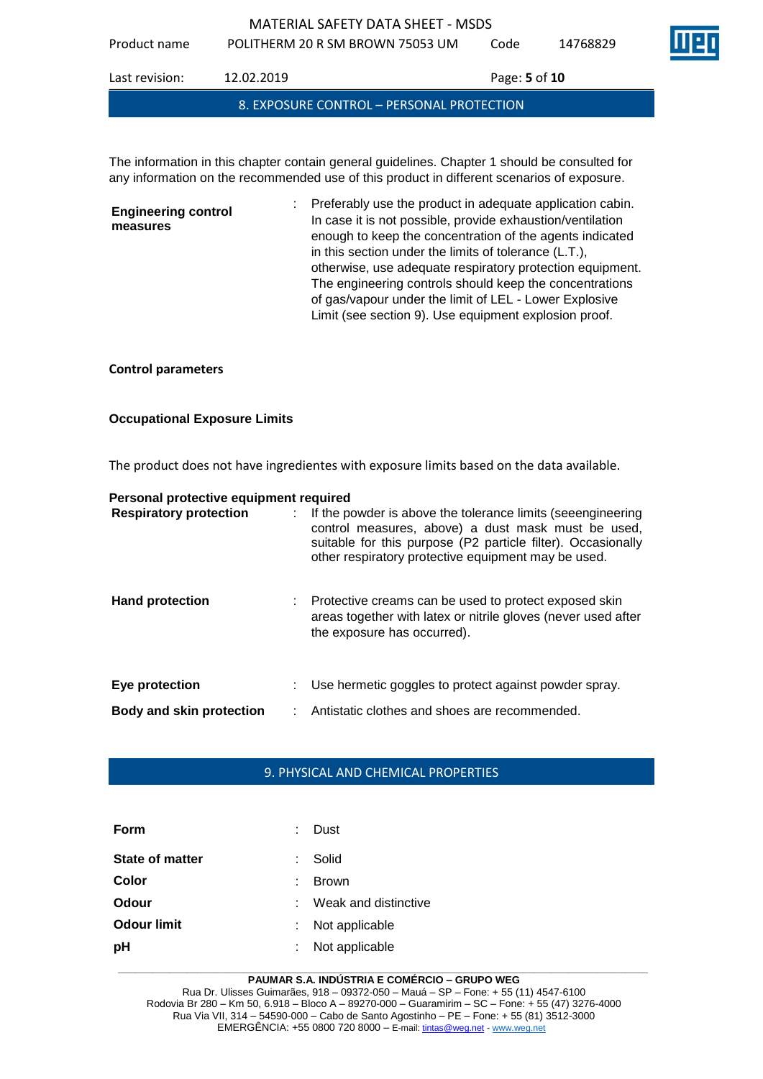Product name POLITHERM 20 R SM BROWN 75053 UM Code 14768829

Last revision: 12.02.2019 Page: **5** of **10** 8. EXPOSURE CONTROL – PERSONAL PROTECTION

The information in this chapter contain general guidelines. Chapter 1 should be consulted for any information on the recommended use of this product in different scenarios of exposure.

**Engineering control measures** : Preferably use the product in adequate application cabin. In case it is not possible, provide exhaustion/ventilation enough to keep the concentration of the agents indicated in this section under the limits of tolerance (L.T.), otherwise, use adequate respiratory protection equipment. The engineering controls should keep the concentrations of gas/vapour under the limit of LEL - Lower Explosive Limit (see section 9). Use equipment explosion proof.

# **Control parameters**

# **Occupational Exposure Limits**

The product does not have ingredientes with exposure limits based on the data available.

| Personal protective equipment required |                                                                                                                                                                                                                                            |
|----------------------------------------|--------------------------------------------------------------------------------------------------------------------------------------------------------------------------------------------------------------------------------------------|
| <b>Respiratory protection</b>          | : If the powder is above the tolerance limits (seeengineering<br>control measures, above) a dust mask must be used,<br>suitable for this purpose (P2 particle filter). Occasionally<br>other respiratory protective equipment may be used. |
| <b>Hand protection</b>                 | : Protective creams can be used to protect exposed skin<br>areas together with latex or nitrile gloves (never used after<br>the exposure has occurred).                                                                                    |
| Eye protection                         | Use hermetic goggles to protect against powder spray.                                                                                                                                                                                      |
| <b>Body and skin protection</b>        | Antistatic clothes and shoes are recommended.                                                                                                                                                                                              |

# 9. PHYSICAL AND CHEMICAL PROPERTIES

| Form                   | Dust                 |
|------------------------|----------------------|
| <b>State of matter</b> | Solid                |
| Color                  | <b>Brown</b>         |
| Odour                  | Weak and distinctive |
| <b>Odour limit</b>     | Not applicable       |
| pH                     | Not applicable       |

#### **\_\_\_\_\_\_\_\_\_\_\_\_\_\_\_\_\_\_\_\_\_\_\_\_\_\_\_\_\_\_\_\_\_\_\_\_\_\_\_\_\_\_\_\_\_\_\_\_\_\_\_\_\_\_\_\_\_\_\_\_\_\_\_\_\_\_\_\_\_\_\_\_\_\_\_\_\_\_\_\_\_\_\_\_\_\_\_\_\_\_\_\_\_ PAUMAR S.A. INDÚSTRIA E COMÉRCIO – GRUPO WEG**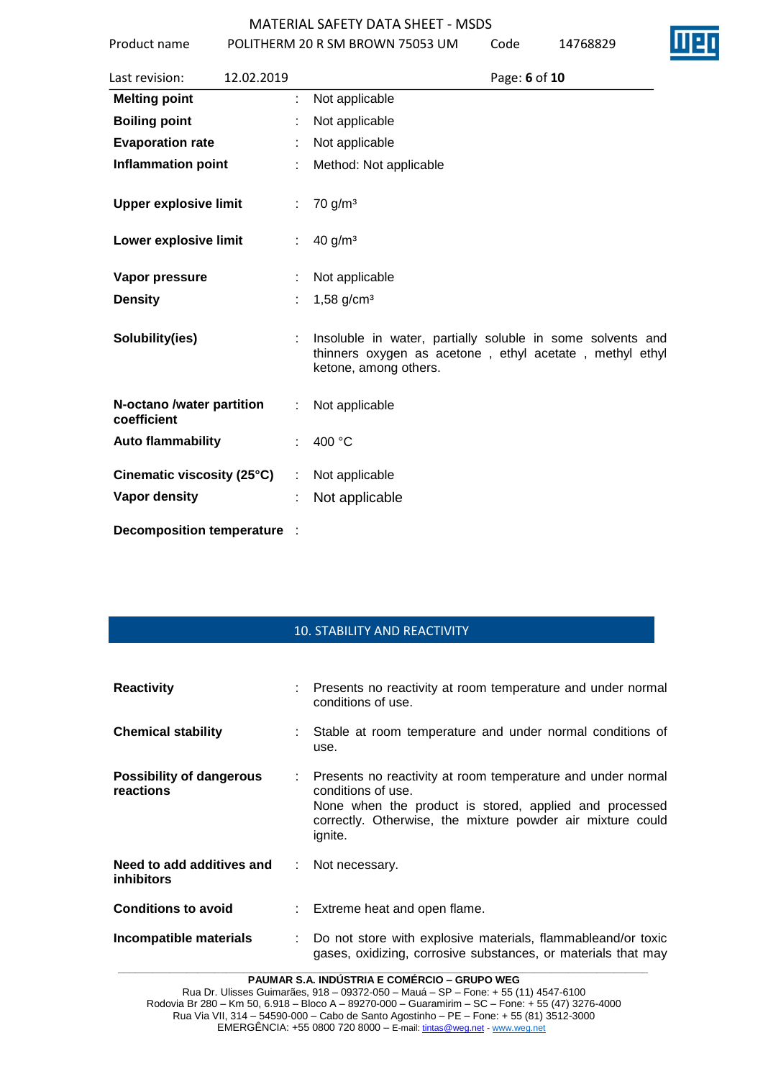Product name POLITHERM 20 R SM BROWN 75053 UM Code 14768829

| Last revision:                           | 12.02.2019 | Page: 6 of 10                                                                                                                                  |
|------------------------------------------|------------|------------------------------------------------------------------------------------------------------------------------------------------------|
| <b>Melting point</b>                     |            | Not applicable                                                                                                                                 |
| <b>Boiling point</b>                     |            | Not applicable                                                                                                                                 |
| <b>Evaporation rate</b>                  |            | Not applicable                                                                                                                                 |
| <b>Inflammation point</b>                |            | Method: Not applicable                                                                                                                         |
| <b>Upper explosive limit</b>             |            | $70$ g/m <sup>3</sup>                                                                                                                          |
| Lower explosive limit                    | ÷          | 40 g/m <sup>3</sup>                                                                                                                            |
| Vapor pressure                           |            | Not applicable                                                                                                                                 |
| <b>Density</b>                           |            | $1,58$ g/cm <sup>3</sup>                                                                                                                       |
| Solubility(ies)                          |            | Insoluble in water, partially soluble in some solvents and<br>thinners oxygen as acetone, ethyl acetate, methyl ethyl<br>ketone, among others. |
| N-octano /water partition<br>coefficient | ÷          | Not applicable                                                                                                                                 |
| <b>Auto flammability</b>                 |            | 400 °C                                                                                                                                         |
| Cinematic viscosity (25°C)               |            | Not applicable                                                                                                                                 |
| Vapor density                            |            | Not applicable                                                                                                                                 |
| <b>Decomposition temperature</b>         |            |                                                                                                                                                |

# 10. STABILITY AND REACTIVITY

| <b>Reactivity</b>                              |    | : Presents no reactivity at room temperature and under normal<br>conditions of use.                                                                                                                                  |
|------------------------------------------------|----|----------------------------------------------------------------------------------------------------------------------------------------------------------------------------------------------------------------------|
| <b>Chemical stability</b>                      |    | Stable at room temperature and under normal conditions of<br>use.                                                                                                                                                    |
| Possibility of dangerous<br>reactions          |    | Presents no reactivity at room temperature and under normal<br>conditions of use.<br>None when the product is stored, applied and processed<br>correctly. Otherwise, the mixture powder air mixture could<br>ignite. |
| Need to add additives and<br><b>inhibitors</b> | ÷. | Not necessary.                                                                                                                                                                                                       |
| <b>Conditions to avoid</b>                     |    | : Extreme heat and open flame.                                                                                                                                                                                       |
| Incompatible materials                         |    | Do not store with explosive materials, flammableand/or toxic<br>gases, oxidizing, corrosive substances, or materials that may                                                                                        |

**PAUMAR S.A. INDÚSTRIA E COMÉRCIO – GRUPO WEG**

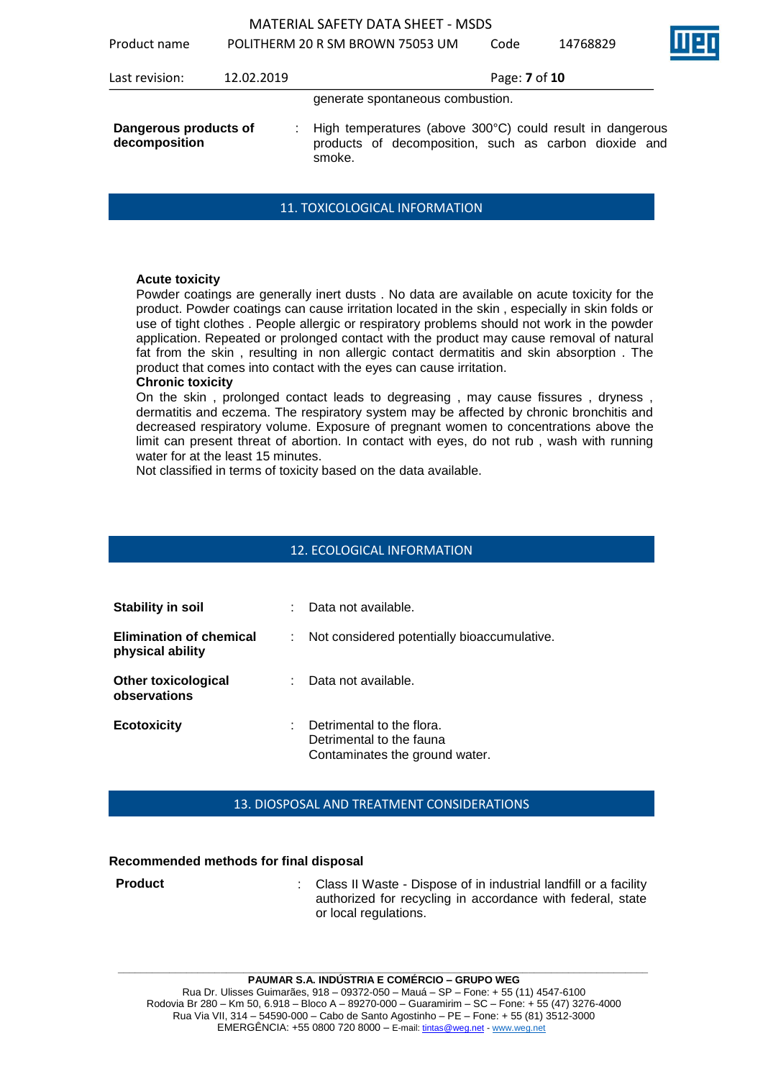Product name POLITHERM 20 R SM BROWN 75053 UM Code 14768829

| 1100000 1101110                        |            | TULITILINIVI ZU INJIVI DINUVIN 7 JUJJ UIVI                                                                                   | cuuc          | 17/0002 <i>J</i> | <b>Service</b> |
|----------------------------------------|------------|------------------------------------------------------------------------------------------------------------------------------|---------------|------------------|----------------|
| Last revision:                         | 12.02.2019 |                                                                                                                              | Page: 7 of 10 |                  |                |
|                                        |            | generate spontaneous combustion.                                                                                             |               |                  |                |
| Dangerous products of<br>decomposition |            | High temperatures (above 300°C) could result in dangerous<br>products of decomposition, such as carbon dioxide and<br>smoke. |               |                  |                |

### 11. TOXICOLOGICAL INFORMATION

### **Acute toxicity**

Powder coatings are generally inert dusts . No data are available on acute toxicity for the product. Powder coatings can cause irritation located in the skin , especially in skin folds or use of tight clothes . People allergic or respiratory problems should not work in the powder application. Repeated or prolonged contact with the product may cause removal of natural fat from the skin , resulting in non allergic contact dermatitis and skin absorption . The product that comes into contact with the eyes can cause irritation.

### **Chronic toxicity**

On the skin , prolonged contact leads to degreasing , may cause fissures , dryness , dermatitis and eczema. The respiratory system may be affected by chronic bronchitis and decreased respiratory volume. Exposure of pregnant women to concentrations above the limit can present threat of abortion. In contact with eyes, do not rub , wash with running water for at the least 15 minutes.

Not classified in terms of toxicity based on the data available.

### 12. ECOLOGICAL INFORMATION

| <b>Stability in soil</b>                           | ÷  | Data not available.                                                                     |
|----------------------------------------------------|----|-----------------------------------------------------------------------------------------|
| <b>Elimination of chemical</b><br>physical ability |    | Not considered potentially bioaccumulative.                                             |
| <b>Other toxicological</b><br>observations         | t. | Data not available.                                                                     |
| <b>Ecotoxicity</b>                                 | t  | Detrimental to the flora.<br>Detrimental to the fauna<br>Contaminates the ground water. |

### 13. DIOSPOSAL AND TREATMENT CONSIDERATIONS

### **Recommended methods for final disposal**

| <b>Product</b> | : Class II Waste - Dispose of in industrial landfill or a facility<br>authorized for recycling in accordance with federal, state |
|----------------|----------------------------------------------------------------------------------------------------------------------------------|
|                | or local regulations.                                                                                                            |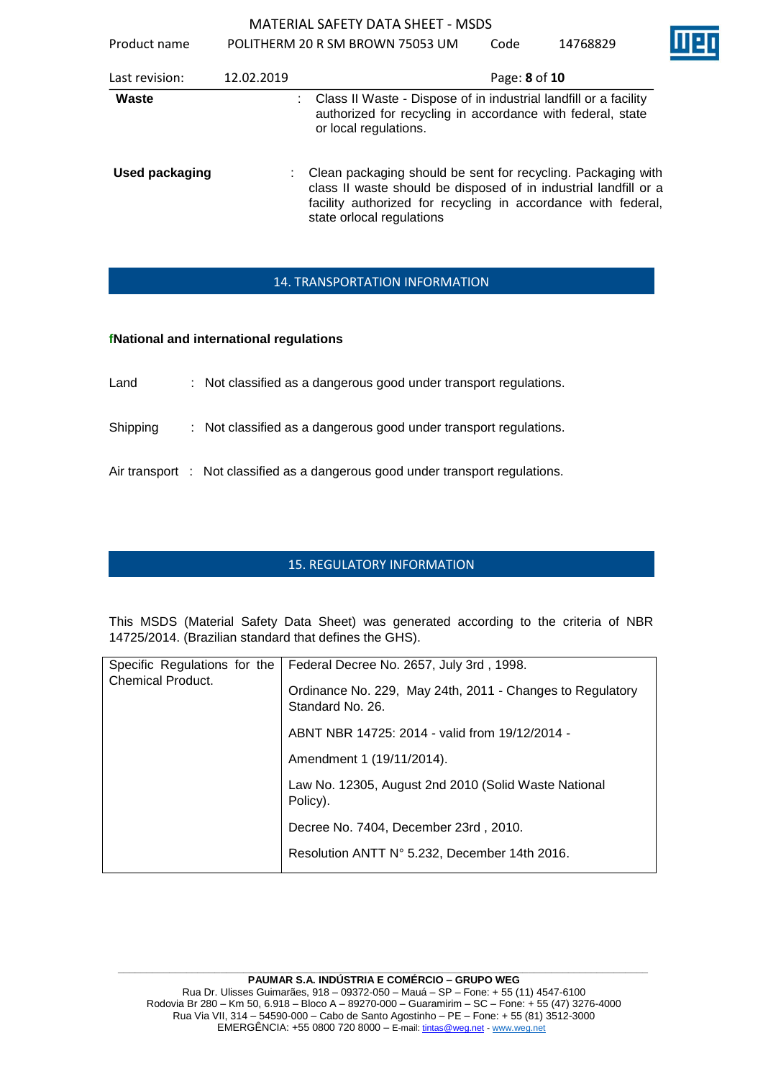Product name POLITHERM 20 R SM BROWN 75053 UM Code

| Last revision:        | 12.02.2019 | Page: 8 of 10                                                                                                                                                                                                                    |
|-----------------------|------------|----------------------------------------------------------------------------------------------------------------------------------------------------------------------------------------------------------------------------------|
| Waste                 |            | Class II Waste - Dispose of in industrial landfill or a facility<br>authorized for recycling in accordance with federal, state<br>or local regulations.                                                                          |
| <b>Used packaging</b> |            | : Clean packaging should be sent for recycling. Packaging with<br>class II waste should be disposed of in industrial landfill or a<br>facility authorized for recycling in accordance with federal,<br>state orlocal regulations |

# 14. TRANSPORTATION INFORMATION

# **fNational and international regulations**

| Land | Not classified as a dangerous good under transport regulations. |
|------|-----------------------------------------------------------------|
|      |                                                                 |

Shipping : Not classified as a dangerous good under transport regulations.

Air transport : Not classified as a dangerous good under transport regulations.

# 15. REGULATORY INFORMATION

This MSDS (Material Safety Data Sheet) was generated according to the criteria of NBR 14725/2014. (Brazilian standard that defines the GHS).

| Specific Regulations for the | Federal Decree No. 2657, July 3rd, 1998.                                      |
|------------------------------|-------------------------------------------------------------------------------|
| <b>Chemical Product.</b>     | Ordinance No. 229, May 24th, 2011 - Changes to Regulatory<br>Standard No. 26. |
|                              | ABNT NBR 14725: 2014 - valid from 19/12/2014 -                                |
|                              | Amendment 1 (19/11/2014).                                                     |
|                              | Law No. 12305, August 2nd 2010 (Solid Waste National<br>Policy).              |
|                              | Decree No. 7404, December 23rd, 2010.                                         |
|                              | Resolution ANTT N° 5.232, December 14th 2016.                                 |
|                              |                                                                               |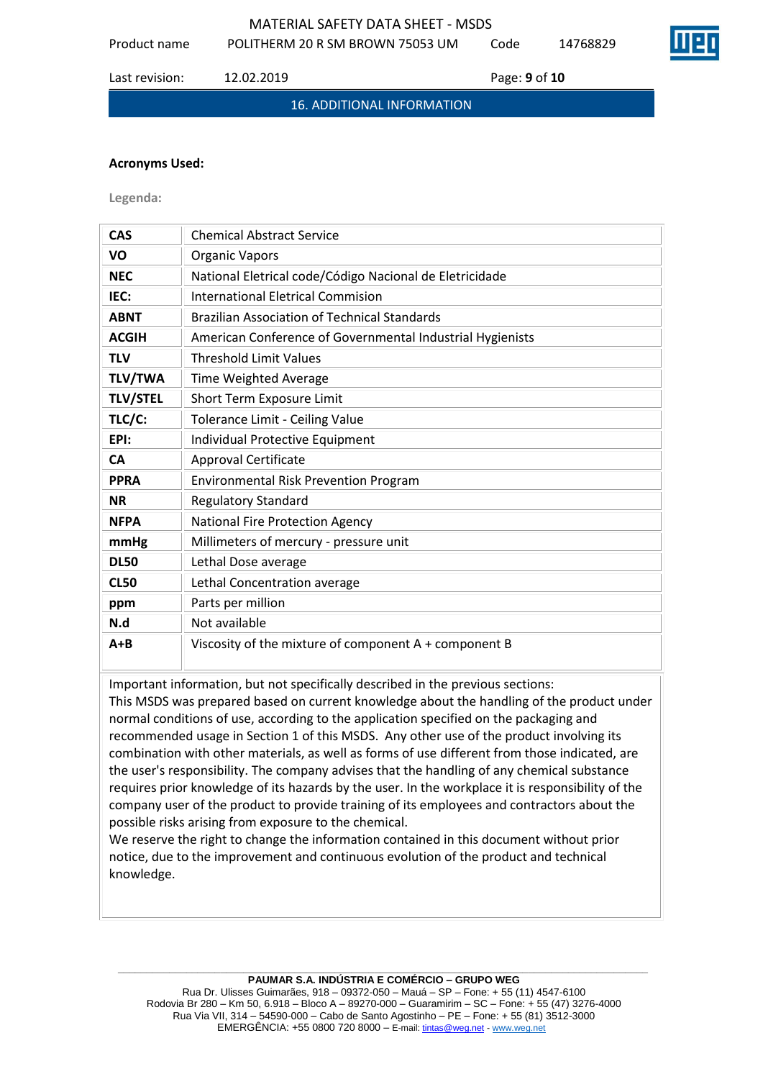Product name POLITHERM 20 R SM BROWN 75053 UM Code 14768829

Last revision: 12.02.2019 Page: **9** of **10**

16. ADDITIONAL INFORMATION

### **Acronyms Used:**

**Legenda:**

| <b>CAS</b>      | <b>Chemical Abstract Service</b>                          |
|-----------------|-----------------------------------------------------------|
| VO              | <b>Organic Vapors</b>                                     |
| <b>NEC</b>      | National Eletrical code/Código Nacional de Eletricidade   |
| IEC:            | <b>International Eletrical Commision</b>                  |
| <b>ABNT</b>     | <b>Brazilian Association of Technical Standards</b>       |
| <b>ACGIH</b>    | American Conference of Governmental Industrial Hygienists |
| <b>TLV</b>      | <b>Threshold Limit Values</b>                             |
| <b>TLV/TWA</b>  | Time Weighted Average                                     |
| <b>TLV/STEL</b> | Short Term Exposure Limit                                 |
| TLC/C:          | Tolerance Limit - Ceiling Value                           |
| EPI:            | Individual Protective Equipment                           |
| <b>CA</b>       | <b>Approval Certificate</b>                               |
| <b>PPRA</b>     | <b>Environmental Risk Prevention Program</b>              |
| <b>NR</b>       | <b>Regulatory Standard</b>                                |
| <b>NFPA</b>     | National Fire Protection Agency                           |
| mmHg            | Millimeters of mercury - pressure unit                    |
| <b>DL50</b>     | Lethal Dose average                                       |
| <b>CL50</b>     | Lethal Concentration average                              |
| ppm             | Parts per million                                         |
| N.d             | Not available                                             |
| $A + B$         | Viscosity of the mixture of component A + component B     |

Important information, but not specifically described in the previous sections:

This MSDS was prepared based on current knowledge about the handling of the product under normal conditions of use, according to the application specified on the packaging and recommended usage in Section 1 of this MSDS. Any other use of the product involving its combination with other materials, as well as forms of use different from those indicated, are the user's responsibility. The company advises that the handling of any chemical substance requires prior knowledge of its hazards by the user. In the workplace it is responsibility of the company user of the product to provide training of its employees and contractors about the possible risks arising from exposure to the chemical.

We reserve the right to change the information contained in this document without prior notice, due to the improvement and continuous evolution of the product and technical knowledge.